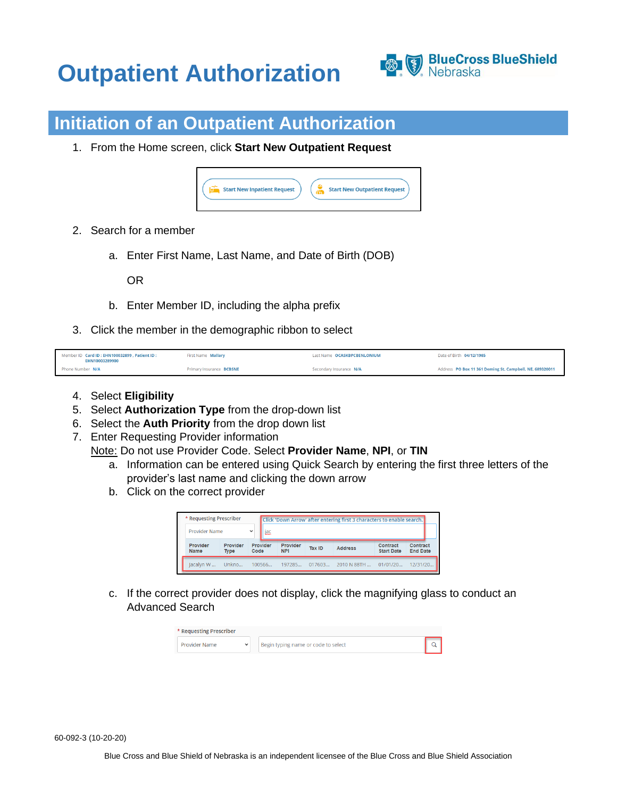## **Outpatient Authorization**



## **Initiation of an Outpatient Authorization**

1. From the Home screen, click **Start New Outpatient Request**



- 2. Search for a member
	- a. Enter First Name, Last Name, and Date of Birth (DOB)

OR

- b. Enter Member ID, including the alpha prefix
- 3. Click the member in the demographic ribbon to select

| Member ID Card ID: EHN100032899 . Patient ID:<br>EHN10003289900 | First Name Mallary       | Last Name OCASKBPCBENLONIUM | Date of Birth 04/12/1985                                 |
|-----------------------------------------------------------------|--------------------------|-----------------------------|----------------------------------------------------------|
| Phone Number N/A                                                | Primary Insurance BCBSNE | Secondary Insurance N/A     | Address PO Box 11 361 Deming St. Campbell, NE, 689320011 |

- 4. Select **Eligibility**
- 5. Select **Authorization Type** from the drop-down list
- 6. Select the **Auth Priority** from the drop down list
- 7. Enter Requesting Provider information

Note: Do not use Provider Code. Select **Provider Name**, **NPI**, or **TIN**

- a. Information can be entered using Quick Search by entering the first three letters of the provider's last name and clicking the down arrow
- b. Click on the correct provider

| * Requesting Prescriber |                         |      |          |                        |               | Click 'Down Arrow' after entering first 3 characters to enable search. |                               |                             |
|-------------------------|-------------------------|------|----------|------------------------|---------------|------------------------------------------------------------------------|-------------------------------|-----------------------------|
| Provider Name           |                         |      |          |                        |               |                                                                        |                               |                             |
| Provider<br>Name        | Provider<br><b>Type</b> | Code | Provider | Provider<br><b>NPI</b> | <b>Tax ID</b> | <b>Address</b>                                                         | Contract<br><b>Start Date</b> | Contract<br><b>End Date</b> |
|                         |                         |      |          |                        |               |                                                                        |                               |                             |

c. If the correct provider does not display, click the magnifying glass to conduct an Advanced Search

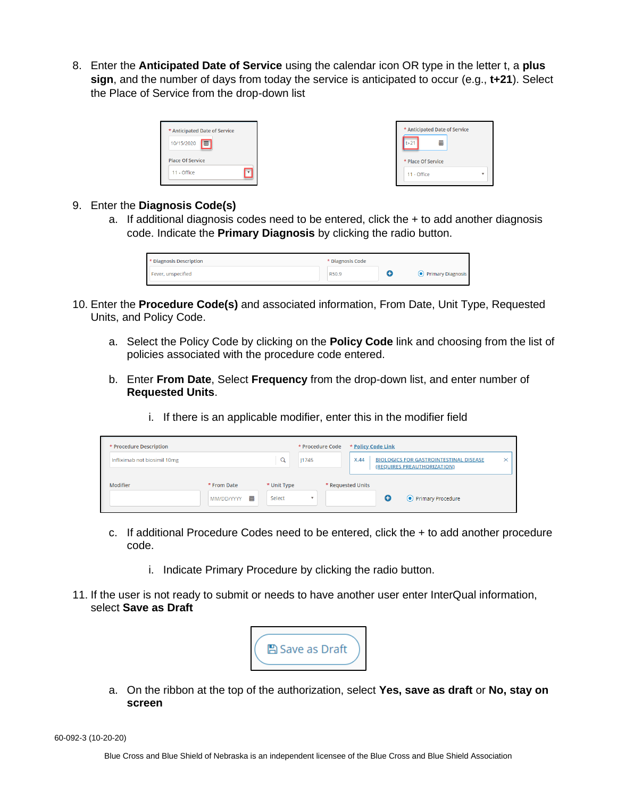8. Enter the **Anticipated Date of Service** using the calendar icon OR type in the letter t, a **plus sign**, and the number of days from today the service is anticipated to occur (e.g., **t+21**). Select the Place of Service from the drop-down list

| * Anticipated Date of Service |  |
|-------------------------------|--|
| 10/15/2020<br>丽               |  |
| <b>Place Of Service</b>       |  |
| 11 - Office                   |  |

|                    | * Anticipated Date of Service |  |
|--------------------|-------------------------------|--|
| $t+21$             | m                             |  |
| * Place Of Service |                               |  |
| 11 - Office        |                               |  |

## 9. Enter the **Diagnosis Code(s)**

a. If additional diagnosis codes need to be entered, click the  $+$  to add another diagnosis code. Indicate the **Primary Diagnosis** by clicking the radio button.

| * Diagnosis Description | * Diagnosis Code |                     |
|-------------------------|------------------|---------------------|
| Fever, unspecified      | R50.9            | • Primary Diagnosis |

- 10. Enter the **Procedure Code(s)** and associated information, From Date, Unit Type, Requested Units, and Policy Code.
	- a. Select the Policy Code by clicking on the **Policy Code** link and choosing from the list of policies associated with the procedure code entered.
	- b. Enter **From Date**, Select **Frequency** from the drop-down list, and enter number of **Requested Units**.
		- i. If there is an applicable modifier, enter this in the modifier field

| * Procedure Description      |                                |                       | * Procedure Code | * Policy Code Link                                                                   |
|------------------------------|--------------------------------|-----------------------|------------------|--------------------------------------------------------------------------------------|
| Infliximab not biosimil 10mg |                                | $\alpha$<br> 1745     |                  | X.44<br><b>BIOLOGICS FOR GASTROINTESTINAL DISEASE</b><br>(REQUIRES PREAUTHORIZATION) |
| Modifier                     | * From Date<br>蘦<br>MM/DD/YYYY | * Unit Type<br>Select |                  | * Requested Units<br>• Primary Procedure                                             |

- c. If additional Procedure Codes need to be entered, click the + to add another procedure code.
	- i. Indicate Primary Procedure by clicking the radio button.
- 11. If the user is not ready to submit or needs to have another user enter InterQual information, select **Save as Draft**



a. On the ribbon at the top of the authorization, select **Yes, save as draft** or **No, stay on screen**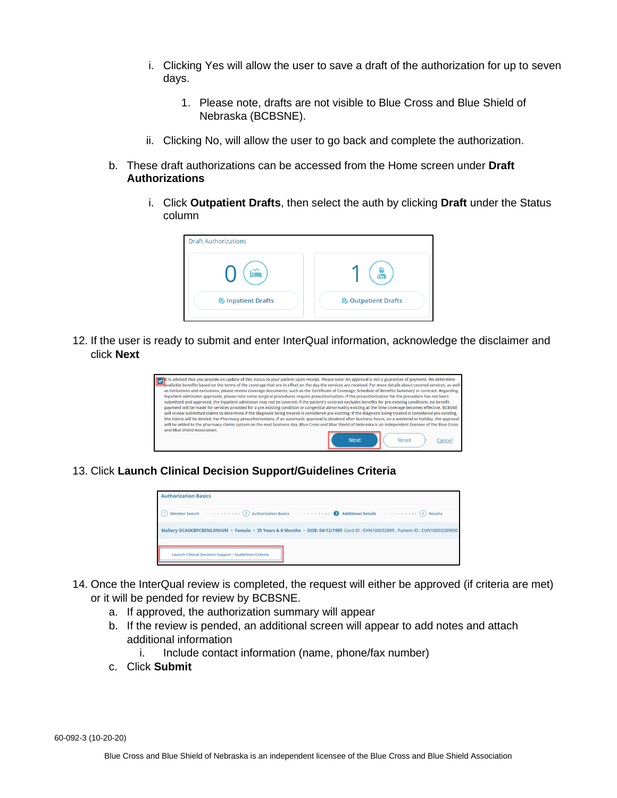- i. Clicking Yes will allow the user to save a draft of the authorization for up to seven days.
	- 1. Please note, drafts are not visible to Blue Cross and Blue Shield of Nebraska (BCBSNE).
- ii. Clicking No, will allow the user to go back and complete the authorization.
- b. These draft authorizations can be accessed from the Home screen under **Draft Authorizations**
	- i. Click **Outpatient Drafts**, then select the auth by clicking **Draft** under the Status column



12. If the user is ready to submit and enter InterQual information, acknowledge the disclaimer and click **Next**



13. Click **Launch Clinical Decision Support/Guidelines Criteria**



- 14. Once the InterQual review is completed, the request will either be approved (if criteria are met) or it will be pended for review by BCBSNE.
	- a. If approved, the authorization summary will appear
	- b. If the review is pended, an additional screen will appear to add notes and attach additional information
		- i. Include contact information (name, phone/fax number)
	- c. Click **Submit**